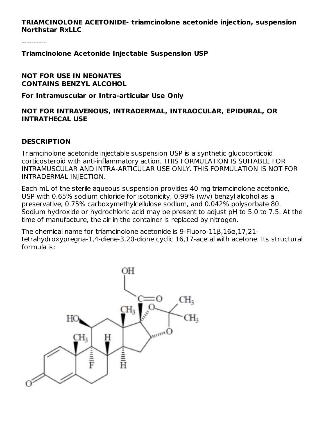#### **TRIAMCINOLONE ACETONIDE- triamcinolone acetonide injection, suspension Northstar RxLLC**

**Triamcinolone Acetonide Injectable Suspension USP**

#### **NOT FOR USE IN NEONATES CONTAINS BENZYL ALCOHOL**

**For Intramuscular or Intra-articular Use Only**

#### **NOT FOR INTRAVENOUS, INTRADERMAL, INTRAOCULAR, EPIDURAL, OR INTRATHECAL USE**

#### **DESCRIPTION**

Triamcinolone acetonide injectable suspension USP is a synthetic glucocorticoid corticosteroid with anti-inflammatory action. THIS FORMULATION IS SUITABLE FOR INTRAMUSCULAR AND INTRA-ARTICULAR USE ONLY. THIS FORMULATION IS NOT FOR INTRADERMAL INJECTION.

Each mL of the sterile aqueous suspension provides 40 mg triamcinolone acetonide, USP with 0.65% sodium chloride for isotonicity, 0.99% (w/v) benzyl alcohol as a preservative, 0.75% carboxymethylcellulose sodium, and 0.042% polysorbate 80. Sodium hydroxide or hydrochloric acid may be present to adjust pH to 5.0 to 7.5. At the time of manufacture, the air in the container is replaced by nitrogen.

The chemical name for triamcinolone acetonide is 9-Fluoro-11β,16α,17,21 tetrahydroxypregna-1,4-diene-3,20-dione cyclic 16,17-acetal with acetone. Its structural formula is:

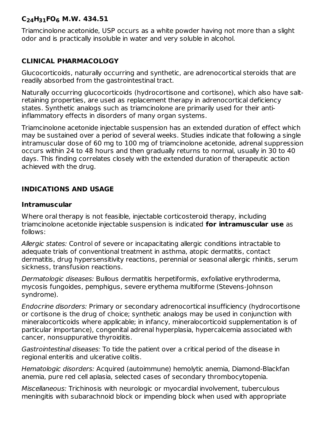# **C H FO M.W. 434.51 24 31 6**

Triamcinolone acetonide, USP occurs as a white powder having not more than a slight odor and is practically insoluble in water and very soluble in alcohol.

### **CLINICAL PHARMACOLOGY**

Glucocorticoids, naturally occurring and synthetic, are adrenocortical steroids that are readily absorbed from the gastrointestinal tract.

Naturally occurring glucocorticoids (hydrocortisone and cortisone), which also have saltretaining properties, are used as replacement therapy in adrenocortical deficiency states. Synthetic analogs such as triamcinolone are primarily used for their antiinflammatory effects in disorders of many organ systems.

Triamcinolone acetonide injectable suspension has an extended duration of effect which may be sustained over a period of several weeks. Studies indicate that following a single intramuscular dose of 60 mg to 100 mg of triamcinolone acetonide, adrenal suppression occurs within 24 to 48 hours and then gradually returns to normal, usually in 30 to 40 days. This finding correlates closely with the extended duration of therapeutic action achieved with the drug.

#### **INDICATIONS AND USAGE**

#### **Intramuscular**

Where oral therapy is not feasible, injectable corticosteroid therapy, including triamcinolone acetonide injectable suspension is indicated **for intramuscular use** as follows:

Allergic states: Control of severe or incapacitating allergic conditions intractable to adequate trials of conventional treatment in asthma, atopic dermatitis, contact dermatitis, drug hypersensitivity reactions, perennial or seasonal allergic rhinitis, serum sickness, transfusion reactions.

Dermatologic diseases: Bullous dermatitis herpetiformis, exfoliative erythroderma, mycosis fungoides, pemphigus, severe erythema multiforme (Stevens-Johnson syndrome).

Endocrine disorders: Primary or secondary adrenocortical insufficiency (hydrocortisone or cortisone is the drug of choice; synthetic analogs may be used in conjunction with mineralocorticoids where applicable; in infancy, mineralocorticoid supplementation is of particular importance), congenital adrenal hyperplasia, hypercalcemia associated with cancer, nonsuppurative thyroiditis.

Gastrointestinal diseases: To tide the patient over a critical period of the disease in regional enteritis and ulcerative colitis.

Hematologic disorders: Acquired (autoimmune) hemolytic anemia, Diamond-Blackfan anemia, pure red cell aplasia, selected cases of secondary thrombocytopenia.

Miscellaneous: Trichinosis with neurologic or myocardial involvement, tuberculous meningitis with subarachnoid block or impending block when used with appropriate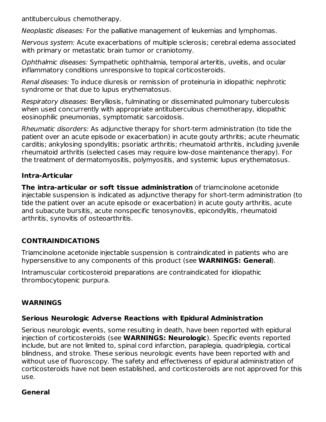antituberculous chemotherapy.

Neoplastic diseases: For the palliative management of leukemias and lymphomas.

Nervous system: Acute exacerbations of multiple sclerosis; cerebral edema associated with primary or metastatic brain tumor or craniotomy.

Ophthalmic diseases: Sympathetic ophthalmia, temporal arteritis, uveitis, and ocular inflammatory conditions unresponsive to topical corticosteroids.

Renal diseases: To induce diuresis or remission of proteinuria in idiopathic nephrotic syndrome or that due to lupus erythematosus.

Respiratory diseases: Berylliosis, fulminating or disseminated pulmonary tuberculosis when used concurrently with appropriate antituberculous chemotherapy, idiopathic eosinophilic pneumonias, symptomatic sarcoidosis.

Rheumatic disorders: As adjunctive therapy for short-term administration (to tide the patient over an acute episode or exacerbation) in acute gouty arthritis; acute rheumatic carditis; ankylosing spondylitis; psoriatic arthritis; rheumatoid arthritis, including juvenile rheumatoid arthritis (selected cases may require low-dose maintenance therapy). For the treatment of dermatomyositis, polymyositis, and systemic lupus erythematosus.

# **Intra-Articular**

**The intra-articular or soft tissue administration** of triamcinolone acetonide injectable suspension is indicated as adjunctive therapy for short-term administration (to tide the patient over an acute episode or exacerbation) in acute gouty arthritis, acute and subacute bursitis, acute nonspecific tenosynovitis, epicondylitis, rheumatoid arthritis, synovitis of osteoarthritis.

# **CONTRAINDICATIONS**

Triamcinolone acetonide injectable suspension is contraindicated in patients who are hypersensitive to any components of this product (see **WARNINGS: General**).

Intramuscular corticosteroid preparations are contraindicated for idiopathic thrombocytopenic purpura.

# **WARNINGS**

# **Serious Neurologic Adverse Reactions with Epidural Administration**

Serious neurologic events, some resulting in death, have been reported with epidural injection of corticosteroids (see **WARNINGS: Neurologic**). Specific events reported include, but are not limited to, spinal cord infarction, paraplegia, quadriplegia, cortical blindness, and stroke. These serious neurologic events have been reported with and without use of fluoroscopy. The safety and effectiveness of epidural administration of corticosteroids have not been established, and corticosteroids are not approved for this use.

# **General**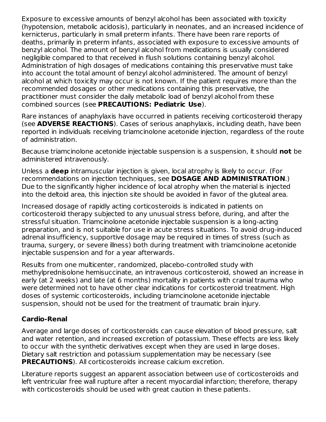Exposure to excessive amounts of benzyl alcohol has been associated with toxicity (hypotension, metabolic acidosis), particularly in neonates, and an increased incidence of kernicterus, particularly in small preterm infants. There have been rare reports of deaths, primarily in preterm infants, associated with exposure to excessive amounts of benzyl alcohol. The amount of benzyl alcohol from medications is usually considered negligible compared to that received in flush solutions containing benzyl alcohol. Administration of high dosages of medications containing this preservative must take into account the total amount of benzyl alcohol administered. The amount of benzyl alcohol at which toxicity may occur is not known. If the patient requires more than the recommended dosages or other medications containing this preservative, the practitioner must consider the daily metabolic load of benzyl alcohol from these combined sources (see **PRECAUTIONS: Pediatric Use**).

Rare instances of anaphylaxis have occurred in patients receiving corticosteroid therapy (see **ADVERSE REACTIONS**). Cases of serious anaphylaxis, including death, have been reported in individuals receiving triamcinolone acetonide injection, regardless of the route of administration.

Because triamcinolone acetonide injectable suspension is a suspension, it should **not** be administered intravenously.

Unless a **deep** intramuscular injection is given, local atrophy is likely to occur. (For recommendations on injection techniques, see **DOSAGE AND ADMINISTRATION**.) Due to the significantly higher incidence of local atrophy when the material is injected into the deltoid area, this injection site should be avoided in favor of the gluteal area.

Increased dosage of rapidly acting corticosteroids is indicated in patients on corticosteroid therapy subjected to any unusual stress before, during, and after the stressful situation. Triamcinolone acetonide injectable suspension is a long-acting preparation, and is not suitable for use in acute stress situations. To avoid drug-induced adrenal insufficiency, supportive dosage may be required in times of stress (such as trauma, surgery, or severe illness) both during treatment with triamcinolone acetonide injectable suspension and for a year afterwards.

Results from one multicenter, randomized, placebo-controlled study with methylprednisolone hemisuccinate, an intravenous corticosteroid, showed an increase in early (at 2 weeks) and late (at 6 months) mortality in patients with cranial trauma who were determined not to have other clear indications for corticosteroid treatment. High doses of systemic corticosteroids, including triamcinolone acetonide injectable suspension, should not be used for the treatment of traumatic brain injury.

### **Cardio-Renal**

Average and large doses of corticosteroids can cause elevation of blood pressure, salt and water retention, and increased excretion of potassium. These effects are less likely to occur with the synthetic derivatives except when they are used in large doses. Dietary salt restriction and potassium supplementation may be necessary (see **PRECAUTIONS**). All corticosteroids increase calcium excretion.

Literature reports suggest an apparent association between use of corticosteroids and left ventricular free wall rupture after a recent myocardial infarction; therefore, therapy with corticosteroids should be used with great caution in these patients.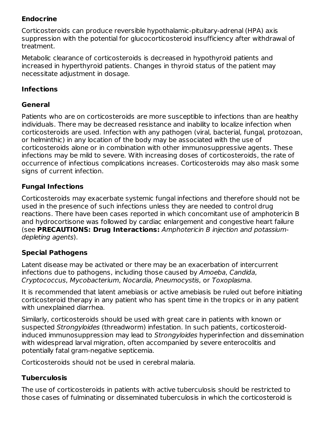## **Endocrine**

Corticosteroids can produce reversible hypothalamic-pituitary-adrenal (HPA) axis suppression with the potential for glucocorticosteroid insufficiency after withdrawal of treatment.

Metabolic clearance of corticosteroids is decreased in hypothyroid patients and increased in hyperthyroid patients. Changes in thyroid status of the patient may necessitate adjustment in dosage.

### **Infections**

## **General**

Patients who are on corticosteroids are more susceptible to infections than are healthy individuals. There may be decreased resistance and inability to localize infection when corticosteroids are used. Infection with any pathogen (viral, bacterial, fungal, protozoan, or helminthic) in any location of the body may be associated with the use of corticosteroids alone or in combination with other immunosuppressive agents. These infections may be mild to severe. With increasing doses of corticosteroids, the rate of occurrence of infectious complications increases. Corticosteroids may also mask some signs of current infection.

# **Fungal Infections**

Corticosteroids may exacerbate systemic fungal infections and therefore should not be used in the presence of such infections unless they are needed to control drug reactions. There have been cases reported in which concomitant use of amphotericin B and hydrocortisone was followed by cardiac enlargement and congestive heart failure (see **PRECAUTIONS: Drug Interactions:** Amphotericin B injection and potassiumdepleting agents).

# **Special Pathogens**

Latent disease may be activated or there may be an exacerbation of intercurrent infections due to pathogens, including those caused by Amoeba, Candida, Cryptococcus, Mycobacterium, Nocardia, Pneumocystis, or Toxoplasma.

It is recommended that latent amebiasis or active amebiasis be ruled out before initiating corticosteroid therapy in any patient who has spent time in the tropics or in any patient with unexplained diarrhea.

Similarly, corticosteroids should be used with great care in patients with known or suspected Strongyloides (threadworm) infestation. In such patients, corticosteroidinduced immunosuppression may lead to Strongyloides hyperinfection and dissemination with widespread larval migration, often accompanied by severe enterocolitis and potentially fatal gram-negative septicemia.

Corticosteroids should not be used in cerebral malaria.

# **Tuberculosis**

The use of corticosteroids in patients with active tuberculosis should be restricted to those cases of fulminating or disseminated tuberculosis in which the corticosteroid is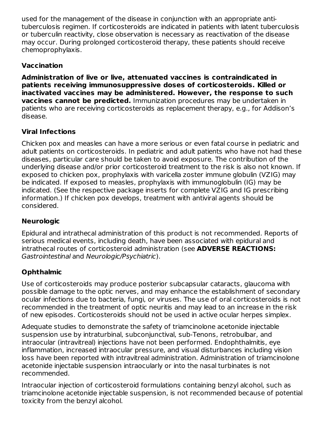used for the management of the disease in conjunction with an appropriate antituberculosis regimen. If corticosteroids are indicated in patients with latent tuberculosis or tuberculin reactivity, close observation is necessary as reactivation of the disease may occur. During prolonged corticosteroid therapy, these patients should receive chemoprophylaxis.

# **Vaccination**

**Administration of live or live, attenuated vaccines is contraindicated in patients receiving immunosuppressive doses of corticosteroids. Killed or inactivated vaccines may be administered. However, the response to such vaccines cannot be predicted.** Immunization procedures may be undertaken in patients who are receiving corticosteroids as replacement therapy, e.g., for Addison's disease.

# **Viral Infections**

Chicken pox and measles can have a more serious or even fatal course in pediatric and adult patients on corticosteroids. In pediatric and adult patients who have not had these diseases, particular care should be taken to avoid exposure. The contribution of the underlying disease and/or prior corticosteroid treatment to the risk is also not known. If exposed to chicken pox, prophylaxis with varicella zoster immune globulin (VZIG) may be indicated. If exposed to measles, prophylaxis with immunoglobulin (IG) may be indicated. (See the respective package inserts for complete VZIG and IG prescribing information.) If chicken pox develops, treatment with antiviral agents should be considered.

# **Neurologic**

Epidural and intrathecal administration of this product is not recommended. Reports of serious medical events, including death, have been associated with epidural and intrathecal routes of corticosteroid administration (see **ADVERSE REACTIONS:** Gastrointestinal and Neurologic/Psychiatric).

# **Ophthalmic**

Use of corticosteroids may produce posterior subcapsular cataracts, glaucoma with possible damage to the optic nerves, and may enhance the establishment of secondary ocular infections due to bacteria, fungi, or viruses. The use of oral corticosteroids is not recommended in the treatment of optic neuritis and may lead to an increase in the risk of new episodes. Corticosteroids should not be used in active ocular herpes simplex.

Adequate studies to demonstrate the safety of triamcinolone acetonide injectable suspension use by intraturbinal, subconjunctival, sub-Tenons, retrobulbar, and intraocular (intravitreal) injections have not been performed. Endophthalmitis, eye inflammation, increased intraocular pressure, and visual disturbances including vision loss have been reported with intravitreal administration. Administration of triamcinolone acetonide injectable suspension intraocularly or into the nasal turbinates is not recommended.

Intraocular injection of corticosteroid formulations containing benzyl alcohol, such as triamcinolone acetonide injectable suspension, is not recommended because of potential toxicity from the benzyl alcohol.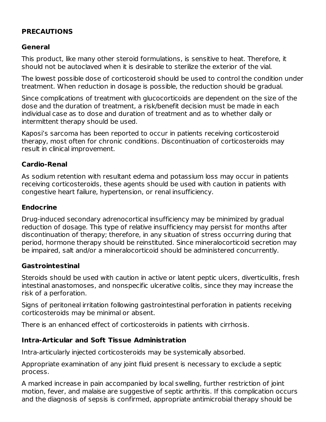### **PRECAUTIONS**

#### **General**

This product, like many other steroid formulations, is sensitive to heat. Therefore, it should not be autoclaved when it is desirable to sterilize the exterior of the vial.

The lowest possible dose of corticosteroid should be used to control the condition under treatment. When reduction in dosage is possible, the reduction should be gradual.

Since complications of treatment with glucocorticoids are dependent on the size of the dose and the duration of treatment, a risk/benefit decision must be made in each individual case as to dose and duration of treatment and as to whether daily or intermittent therapy should be used.

Kaposi's sarcoma has been reported to occur in patients receiving corticosteroid therapy, most often for chronic conditions. Discontinuation of corticosteroids may result in clinical improvement.

### **Cardio-Renal**

As sodium retention with resultant edema and potassium loss may occur in patients receiving corticosteroids, these agents should be used with caution in patients with congestive heart failure, hypertension, or renal insufficiency.

#### **Endocrine**

Drug-induced secondary adrenocortical insufficiency may be minimized by gradual reduction of dosage. This type of relative insufficiency may persist for months after discontinuation of therapy; therefore, in any situation of stress occurring during that period, hormone therapy should be reinstituted. Since mineralocorticoid secretion may be impaired, salt and/or a mineralocorticoid should be administered concurrently.

### **Gastrointestinal**

Steroids should be used with caution in active or latent peptic ulcers, diverticulitis, fresh intestinal anastomoses, and nonspecific ulcerative colitis, since they may increase the risk of a perforation.

Signs of peritoneal irritation following gastrointestinal perforation in patients receiving corticosteroids may be minimal or absent.

There is an enhanced effect of corticosteroids in patients with cirrhosis.

### **Intra-Articular and Soft Tissue Administration**

Intra-articularly injected corticosteroids may be systemically absorbed.

Appropriate examination of any joint fluid present is necessary to exclude a septic process.

A marked increase in pain accompanied by local swelling, further restriction of joint motion, fever, and malaise are suggestive of septic arthritis. If this complication occurs and the diagnosis of sepsis is confirmed, appropriate antimicrobial therapy should be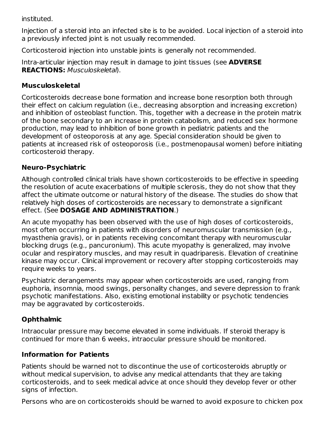instituted.

Injection of a steroid into an infected site is to be avoided. Local injection of a steroid into a previously infected joint is not usually recommended.

Corticosteroid injection into unstable joints is generally not recommended.

Intra-articular injection may result in damage to joint tissues (see **ADVERSE REACTIONS:** Musculoskeletal).

## **Musculoskeletal**

Corticosteroids decrease bone formation and increase bone resorption both through their effect on calcium regulation (i.e., decreasing absorption and increasing excretion) and inhibition of osteoblast function. This, together with a decrease in the protein matrix of the bone secondary to an increase in protein catabolism, and reduced sex hormone production, may lead to inhibition of bone growth in pediatric patients and the development of osteoporosis at any age. Special consideration should be given to patients at increased risk of osteoporosis (i.e., postmenopausal women) before initiating corticosteroid therapy.

## **Neuro-Psychiatric**

Although controlled clinical trials have shown corticosteroids to be effective in speeding the resolution of acute exacerbations of multiple sclerosis, they do not show that they affect the ultimate outcome or natural history of the disease. The studies do show that relatively high doses of corticosteroids are necessary to demonstrate a significant effect. (See **DOSAGE AND ADMINISTRATION**.)

An acute myopathy has been observed with the use of high doses of corticosteroids, most often occurring in patients with disorders of neuromuscular transmission (e.g., myasthenia gravis), or in patients receiving concomitant therapy with neuromuscular blocking drugs (e.g., pancuronium). This acute myopathy is generalized, may involve ocular and respiratory muscles, and may result in quadriparesis. Elevation of creatinine kinase may occur. Clinical improvement or recovery after stopping corticosteroids may require weeks to years.

Psychiatric derangements may appear when corticosteroids are used, ranging from euphoria, insomnia, mood swings, personality changes, and severe depression to frank psychotic manifestations. Also, existing emotional instability or psychotic tendencies may be aggravated by corticosteroids.

# **Ophthalmic**

Intraocular pressure may become elevated in some individuals. If steroid therapy is continued for more than 6 weeks, intraocular pressure should be monitored.

### **Information for Patients**

Patients should be warned not to discontinue the use of corticosteroids abruptly or without medical supervision, to advise any medical attendants that they are taking corticosteroids, and to seek medical advice at once should they develop fever or other signs of infection.

Persons who are on corticosteroids should be warned to avoid exposure to chicken pox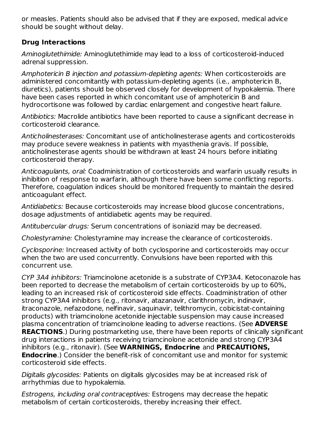or measles. Patients should also be advised that if they are exposed, medical advice should be sought without delay.

### **Drug Interactions**

Aminoglutethimide: Aminoglutethimide may lead to a loss of corticosteroid-induced adrenal suppression.

Amphotericin B injection and potassium-depleting agents: When corticosteroids are administered concomitantly with potassium-depleting agents (i.e., amphotericin B, diuretics), patients should be observed closely for development of hypokalemia. There have been cases reported in which concomitant use of amphotericin B and hydrocortisone was followed by cardiac enlargement and congestive heart failure.

Antibiotics: Macrolide antibiotics have been reported to cause a significant decrease in corticosteroid clearance.

Anticholinesterases: Concomitant use of anticholinesterase agents and corticosteroids may produce severe weakness in patients with myasthenia gravis. If possible, anticholinesterase agents should be withdrawn at least 24 hours before initiating corticosteroid therapy.

Anticoagulants, oral: Coadministration of corticosteroids and warfarin usually results in inhibition of response to warfarin, although there have been some conflicting reports. Therefore, coagulation indices should be monitored frequently to maintain the desired anticoagulant effect.

Antidiabetics: Because corticosteroids may increase blood glucose concentrations, dosage adjustments of antidiabetic agents may be required.

Antitubercular drugs: Serum concentrations of isoniazid may be decreased.

Cholestyramine: Cholestyramine may increase the clearance of corticosteroids.

Cyclosporine: Increased activity of both cyclosporine and corticosteroids may occur when the two are used concurrently. Convulsions have been reported with this concurrent use.

CYP 3A4 inhibitors: Triamcinolone acetonide is a substrate of CYP3A4. Ketoconazole has been reported to decrease the metabolism of certain corticosteroids by up to 60%, leading to an increased risk of corticosteroid side effects. Coadministration of other strong CYP3A4 inhibitors (e.g., ritonavir, atazanavir, clarithromycin, indinavir, itraconazole, nefazodone, nelfinavir, saquinavir, telithromycin, cobicistat-containing products) with triamcinolone acetonide injectable suspension may cause increased plasma concentration of triamcinolone leading to adverse reactions. (See **ADVERSE REACTIONS**.) During postmarketing use, there have been reports of clinically significant drug interactions in patients receiving triamcinolone acetonide and strong CYP3A4 inhibitors (e.g., ritonavir). (See **WARNINGS, Endocrine** and **PRECAUTIONS, Endocrine**.) Consider the benefit-risk of concomitant use and monitor for systemic corticosteroid side effects.

Digitalis glycosides: Patients on digitalis glycosides may be at increased risk of arrhythmias due to hypokalemia.

Estrogens, including oral contraceptives: Estrogens may decrease the hepatic metabolism of certain corticosteroids, thereby increasing their effect.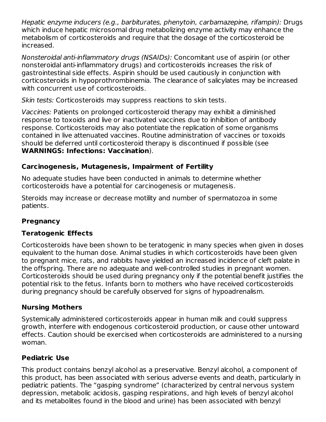Hepatic enzyme inducers (e.g., barbiturates, phenytoin, carbamazepine, rifampin): Drugs which induce hepatic microsomal drug metabolizing enzyme activity may enhance the metabolism of corticosteroids and require that the dosage of the corticosteroid be increased.

Nonsteroidal anti-inflammatory drugs (NSAIDs): Concomitant use of aspirin (or other nonsteroidal anti-inflammatory drugs) and corticosteroids increases the risk of gastrointestinal side effects. Aspirin should be used cautiously in conjunction with corticosteroids in hypoprothrombinemia. The clearance of salicylates may be increased with concurrent use of corticosteroids.

Skin tests: Corticosteroids may suppress reactions to skin tests.

Vaccines: Patients on prolonged corticosteroid therapy may exhibit a diminished response to toxoids and live or inactivated vaccines due to inhibition of antibody response. Corticosteroids may also potentiate the replication of some organisms contained in live attenuated vaccines. Routine administration of vaccines or toxoids should be deferred until corticosteroid therapy is discontinued if possible (see **WARNINGS: Infections: Vaccination**).

## **Carcinogenesis, Mutagenesis, Impairment of Fertility**

No adequate studies have been conducted in animals to determine whether corticosteroids have a potential for carcinogenesis or mutagenesis.

Steroids may increase or decrease motility and number of spermatozoa in some patients.

# **Pregnancy**

# **Teratogenic Effects**

Corticosteroids have been shown to be teratogenic in many species when given in doses equivalent to the human dose. Animal studies in which corticosteroids have been given to pregnant mice, rats, and rabbits have yielded an increased incidence of cleft palate in the offspring. There are no adequate and well-controlled studies in pregnant women. Corticosteroids should be used during pregnancy only if the potential benefit justifies the potential risk to the fetus. Infants born to mothers who have received corticosteroids during pregnancy should be carefully observed for signs of hypoadrenalism.

# **Nursing Mothers**

Systemically administered corticosteroids appear in human milk and could suppress growth, interfere with endogenous corticosteroid production, or cause other untoward effects. Caution should be exercised when corticosteroids are administered to a nursing woman.

# **Pediatric Use**

This product contains benzyl alcohol as a preservative. Benzyl alcohol, a component of this product, has been associated with serious adverse events and death, particularly in pediatric patients. The "gasping syndrome" (characterized by central nervous system depression, metabolic acidosis, gasping respirations, and high levels of benzyl alcohol and its metabolites found in the blood and urine) has been associated with benzyl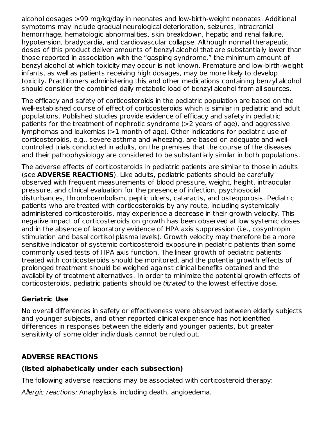alcohol dosages >99 mg/kg/day in neonates and low-birth-weight neonates. Additional symptoms may include gradual neurological deterioration, seizures, intracranial hemorrhage, hematologic abnormalities, skin breakdown, hepatic and renal failure, hypotension, bradycardia, and cardiovascular collapse. Although normal therapeutic doses of this product deliver amounts of benzyl alcohol that are substantially lower than those reported in association with the "gasping syndrome," the minimum amount of benzyl alcohol at which toxicity may occur is not known. Premature and low-birth-weight infants, as well as patients receiving high dosages, may be more likely to develop toxicity. Practitioners administering this and other medications containing benzyl alcohol should consider the combined daily metabolic load of benzyl alcohol from all sources.

The efficacy and safety of corticosteroids in the pediatric population are based on the well-established course of effect of corticosteroids which is similar in pediatric and adult populations. Published studies provide evidence of efficacy and safety in pediatric patients for the treatment of nephrotic syndrome (>2 years of age), and aggressive lymphomas and leukemias (>1 month of age). Other indications for pediatric use of corticosteroids, e.g., severe asthma and wheezing, are based on adequate and wellcontrolled trials conducted in adults, on the premises that the course of the diseases and their pathophysiology are considered to be substantially similar in both populations.

The adverse effects of corticosteroids in pediatric patients are similar to those in adults (see **ADVERSE REACTIONS**). Like adults, pediatric patients should be carefully observed with frequent measurements of blood pressure, weight, height, intraocular pressure, and clinical evaluation for the presence of infection, psychosocial disturbances, thromboembolism, peptic ulcers, cataracts, and osteoporosis. Pediatric patients who are treated with corticosteroids by any route, including systemically administered corticosteroids, may experience a decrease in their growth velocity. This negative impact of corticosteroids on growth has been observed at low systemic doses and in the absence of laboratory evidence of HPA axis suppression (i.e., cosyntropin stimulation and basal cortisol plasma levels). Growth velocity may therefore be a more sensitive indicator of systemic corticosteroid exposure in pediatric patients than some commonly used tests of HPA axis function. The linear growth of pediatric patients treated with corticosteroids should be monitored, and the potential growth effects of prolonged treatment should be weighed against clinical benefits obtained and the availability of treatment alternatives. In order to minimize the potential growth effects of corticosteroids, pediatric patients should be titrated to the lowest effective dose.

### **Geriatric Use**

No overall differences in safety or effectiveness were observed between elderly subjects and younger subjects, and other reported clinical experience has not identified differences in responses between the elderly and younger patients, but greater sensitivity of some older individuals cannot be ruled out.

# **ADVERSE REACTIONS**

# **(listed alphabetically under each subsection)**

The following adverse reactions may be associated with corticosteroid therapy:

Allergic reactions: Anaphylaxis including death, angioedema.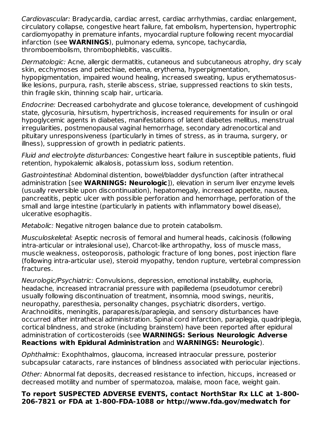Cardiovascular: Bradycardia, cardiac arrest, cardiac arrhythmias, cardiac enlargement, circulatory collapse, congestive heart failure, fat embolism, hypertension, hypertrophic cardiomyopathy in premature infants, myocardial rupture following recent myocardial infarction (see **WARNINGS**), pulmonary edema, syncope, tachycardia, thromboembolism, thrombophlebitis, vasculitis.

Dermatologic: Acne, allergic dermatitis, cutaneous and subcutaneous atrophy, dry scaly skin, ecchymoses and petechiae, edema, erythema, hyperpigmentation, hypopigmentation, impaired wound healing, increased sweating, lupus erythematosuslike lesions, purpura, rash, sterile abscess, striae, suppressed reactions to skin tests, thin fragile skin, thinning scalp hair, urticaria.

Endocrine: Decreased carbohydrate and glucose tolerance, development of cushingoid state, glycosuria, hirsutism, hypertrichosis, increased requirements for insulin or oral hypoglycemic agents in diabetes, manifestations of latent diabetes mellitus, menstrual irregularities, postmenopausal vaginal hemorrhage, secondary adrenocortical and pituitary unresponsiveness (particularly in times of stress, as in trauma, surgery, or illness), suppression of growth in pediatric patients.

Fluid and electrolyte disturbances: Congestive heart failure in susceptible patients, fluid retention, hypokalemic alkalosis, potassium loss, sodium retention.

Gastrointestinal: Abdominal distention, bowel/bladder dysfunction (after intrathecal administration [see **WARNINGS: Neurologic**]), elevation in serum liver enzyme levels (usually reversible upon discontinuation), hepatomegaly, increased appetite, nausea, pancreatitis, peptic ulcer with possible perforation and hemorrhage, perforation of the small and large intestine (particularly in patients with inflammatory bowel disease), ulcerative esophagitis.

Metabolic: Negative nitrogen balance due to protein catabolism.

Musculoskeletal: Aseptic necrosis of femoral and humeral heads, calcinosis (following intra-articular or intralesional use), Charcot-like arthropathy, loss of muscle mass, muscle weakness, osteoporosis, pathologic fracture of long bones, post injection flare (following intra-articular use), steroid myopathy, tendon rupture, vertebral compression fractures.

Neurologic/Psychiatric: Convulsions, depression, emotional instability, euphoria, headache, increased intracranial pressure with papilledema (pseudotumor cerebri) usually following discontinuation of treatment, insomnia, mood swings, neuritis, neuropathy, paresthesia, personality changes, psychiatric disorders, vertigo. Arachnoiditis, meningitis, paraparesis/paraplegia, and sensory disturbances have occurred after intrathecal administration. Spinal cord infarction, paraplegia, quadriplegia, cortical blindness, and stroke (including brainstem) have been reported after epidural administration of corticosteroids (see **WARNINGS: Serious Neurologic Adverse Reactions with Epidural Administration** and **WARNINGS: Neurologic**).

Ophthalmic: Exophthalmos, glaucoma, increased intraocular pressure, posterior subcapsular cataracts, rare instances of blindness associated with periocular injections.

Other: Abnormal fat deposits, decreased resistance to infection, hiccups, increased or decreased motility and number of spermatozoa, malaise, moon face, weight gain.

#### **To report SUSPECTED ADVERSE EVENTS, contact NorthStar Rx LLC at 1-800- 206-7821 or FDA at 1-800-FDA-1088 or http://www.fda.gov/medwatch for**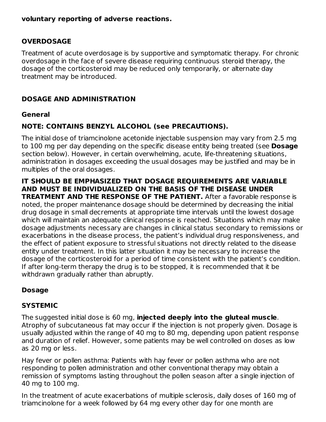#### **voluntary reporting of adverse reactions.**

## **OVERDOSAGE**

Treatment of acute overdosage is by supportive and symptomatic therapy. For chronic overdosage in the face of severe disease requiring continuous steroid therapy, the dosage of the corticosteroid may be reduced only temporarily, or alternate day treatment may be introduced.

# **DOSAGE AND ADMINISTRATION**

### **General**

# **NOTE: CONTAINS BENZYL ALCOHOL (see PRECAUTIONS).**

The initial dose of triamcinolone acetonide injectable suspension may vary from 2.5 mg to 100 mg per day depending on the specific disease entity being treated (see **Dosage** section below). However, in certain overwhelming, acute, life-threatening situations, administration in dosages exceeding the usual dosages may be justified and may be in multiples of the oral dosages.

**IT SHOULD BE EMPHASIZED THAT DOSAGE REQUIREMENTS ARE VARIABLE AND MUST BE INDIVIDUALIZED ON THE BASIS OF THE DISEASE UNDER TREATMENT AND THE RESPONSE OF THE PATIENT.** After a favorable response is noted, the proper maintenance dosage should be determined by decreasing the initial drug dosage in small decrements at appropriate time intervals until the lowest dosage which will maintain an adequate clinical response is reached. Situations which may make dosage adjustments necessary are changes in clinical status secondary to remissions or exacerbations in the disease process, the patient's individual drug responsiveness, and the effect of patient exposure to stressful situations not directly related to the disease entity under treatment. In this latter situation it may be necessary to increase the dosage of the corticosteroid for a period of time consistent with the patient's condition. If after long-term therapy the drug is to be stopped, it is recommended that it be withdrawn gradually rather than abruptly.

# **Dosage**

### **SYSTEMIC**

The suggested initial dose is 60 mg, **injected deeply into the gluteal muscle**. Atrophy of subcutaneous fat may occur if the injection is not properly given. Dosage is usually adjusted within the range of 40 mg to 80 mg, depending upon patient response and duration of relief. However, some patients may be well controlled on doses as low as 20 mg or less.

Hay fever or pollen asthma: Patients with hay fever or pollen asthma who are not responding to pollen administration and other conventional therapy may obtain a remission of symptoms lasting throughout the pollen season after a single injection of 40 mg to 100 mg.

In the treatment of acute exacerbations of multiple sclerosis, daily doses of 160 mg of triamcinolone for a week followed by 64 mg every other day for one month are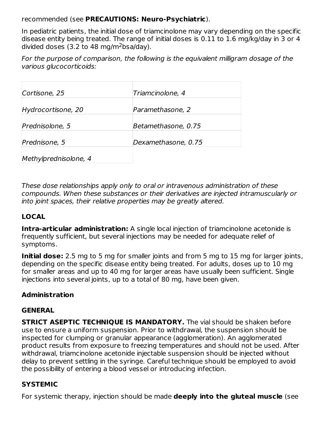recommended (see **PRECAUTIONS: Neuro-Psychiatric**).

In pediatric patients, the initial dose of triamcinolone may vary depending on the specific disease entity being treated. The range of initial doses is 0.11 to 1.6 mg/kg/day in 3 or 4 divided doses (3.2 to 48 mg/m<sup>2</sup>bsa/day).

For the purpose of comparison, the following is the equivalent milligram dosage of the various glucocorticoids:

| Cortisone, 25         | Triamcinolone, 4    |
|-----------------------|---------------------|
| Hydrocortisone, 20    | Paramethasone, 2    |
| Prednisolone, 5       | Betamethasone, 0.75 |
| Prednisone, 5         | Dexamethasone, 0.75 |
| Methylprednisolone, 4 |                     |

These dose relationships apply only to oral or intravenous administration of these compounds. When these substances or their derivatives are injected intramuscularly or into joint spaces, their relative properties may be greatly altered.

### **LOCAL**

**Intra-articular administration:** A single local injection of triamcinolone acetonide is frequently sufficient, but several injections may be needed for adequate relief of symptoms.

**Initial dose:** 2.5 mg to 5 mg for smaller joints and from 5 mg to 15 mg for larger joints, depending on the specific disease entity being treated. For adults, doses up to 10 mg for smaller areas and up to 40 mg for larger areas have usually been sufficient. Single injections into several joints, up to a total of 80 mg, have been given.

#### **Administration**

#### **GENERAL**

**STRICT ASEPTIC TECHNIQUE IS MANDATORY.** The vial should be shaken before use to ensure a uniform suspension. Prior to withdrawal, the suspension should be inspected for clumping or granular appearance (agglomeration). An agglomerated product results from exposure to freezing temperatures and should not be used. After withdrawal, triamcinolone acetonide injectable suspension should be injected without delay to prevent settling in the syringe. Careful technique should be employed to avoid the possibility of entering a blood vessel or introducing infection.

### **SYSTEMIC**

For systemic therapy, injection should be made **deeply into the gluteal muscle** (see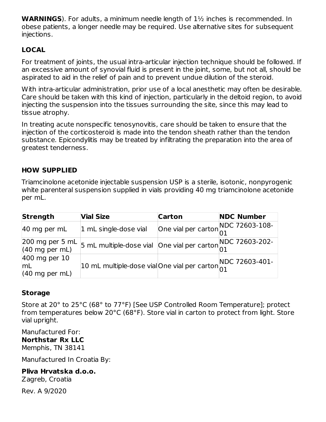**WARNINGS**). For adults, a minimum needle length of 1½ inches is recommended. In obese patients, a longer needle may be required. Use alternative sites for subsequent injections.

# **LOCAL**

For treatment of joints, the usual intra-articular injection technique should be followed. If an excessive amount of synovial fluid is present in the joint, some, but not all, should be aspirated to aid in the relief of pain and to prevent undue dilution of the steroid.

With intra-articular administration, prior use of a local anesthetic may often be desirable. Care should be taken with this kind of injection, particularly in the deltoid region, to avoid injecting the suspension into the tissues surrounding the site, since this may lead to tissue atrophy.

In treating acute nonspecific tenosynovitis, care should be taken to ensure that the injection of the corticosteroid is made into the tendon sheath rather than the tendon substance. Epicondylitis may be treated by infiltrating the preparation into the area of greatest tenderness.

### **HOW SUPPLIED**

Triamcinolone acetonide injectable suspension USP is a sterile, isotonic, nonpyrogenic white parenteral suspension supplied in vials providing 40 mg triamcinolone acetonide per mL.

| Strength                                        | <b>Vial Size</b>                                                              | <b>Carton</b>                      | <b>NDC Number</b> |
|-------------------------------------------------|-------------------------------------------------------------------------------|------------------------------------|-------------------|
| 40 mg per mL                                    | 1 mL single-dose vial                                                         | One vial per carton NDC 72603-108- |                   |
| 200 mg per 5 mL<br>(40 mg per mL)               | 5 mL multiple-dose vial $\vert$ One vial per carton $\vert$ NDC 72603-202-    |                                    |                   |
| 400 mg per 10<br>mL<br>$(40 \text{ mg per mL})$ | 10 mL multiple-dose vial One vial per carton $ _{01}^{\text{NDC}}$ 72603-401- |                                    |                   |

### **Storage**

Store at 20° to 25°C (68° to 77°F) [See USP Controlled Room Temperature]; protect from temperatures below 20°C (68°F). Store vial in carton to protect from light. Store vial upright.

Manufactured For: **Northstar Rx LLC** Memphis, TN 38141

Manufactured In Croatia By:

#### **Pliva Hrvatska d.o.o.**

Zagreb, Croatia

Rev. A 9/2020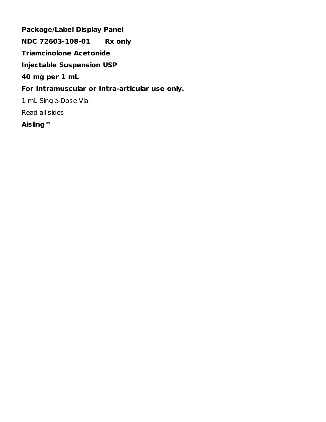**Package/Label Display Panel**

**NDC 72603-108-01 Rx only**

**Triamcinolone Acetonide**

**Injectable Suspension USP**

**40 mg per 1 mL**

### **For Intramuscular or Intra-articular use only.**

1 mL Single-Dose Vial

Read all sides

**Aisling™**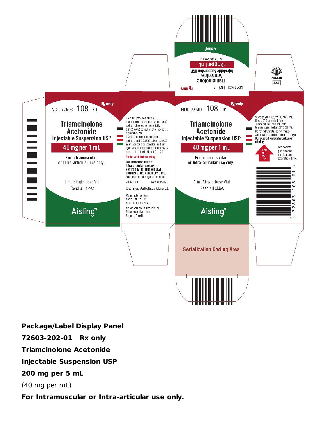

**Package/Label Display Panel**

**72603-202-01 Rx only**

**Triamcinolone Acetonide**

**Injectable Suspension USP**

#### **200 mg per 5 mL**

(40 mg per mL)

**For Intramuscular or Intra-articular use only.**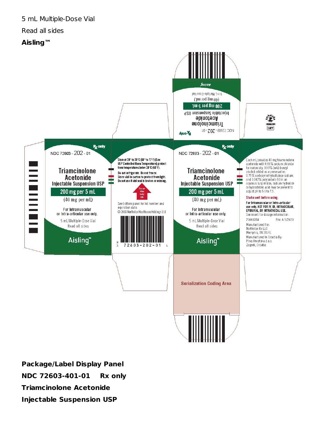# 5 mL Multiple-Dose Vial

Read all sides

#### **Aisling™**



**Package/Label Display Panel NDC 72603-401-01 Rx only Triamcinolone Acetonide Injectable Suspension USP**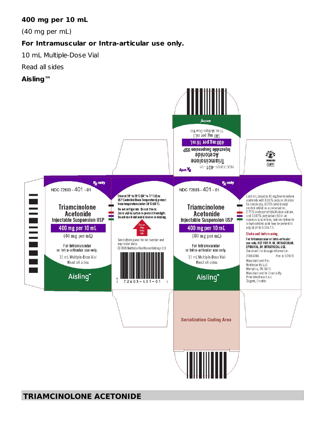# **400 mg per 10 mL**

(40 mg per mL)

# **For Intramuscular or Intra-articular use only.**

10 mL Multiple-Dose Vial

Read all sides

# **Aisling™**



# **TRIAMCINOLONE ACETONIDE**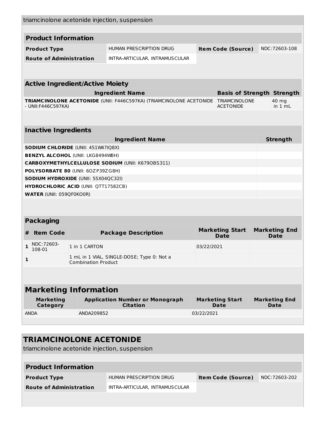| triamcinolone acetonide injection, suspension |                                                                          |                                                                     |            |                                          |  |                                     |
|-----------------------------------------------|--------------------------------------------------------------------------|---------------------------------------------------------------------|------------|------------------------------------------|--|-------------------------------------|
|                                               |                                                                          |                                                                     |            |                                          |  |                                     |
| <b>Product Information</b>                    |                                                                          |                                                                     |            |                                          |  |                                     |
| <b>Product Type</b>                           |                                                                          | HUMAN PRESCRIPTION DRUG                                             |            | <b>Item Code (Source)</b>                |  | NDC: 72603-108                      |
| <b>Route of Administration</b>                |                                                                          | INTRA-ARTICULAR, INTRAMUS CULAR                                     |            |                                          |  |                                     |
|                                               |                                                                          |                                                                     |            |                                          |  |                                     |
| <b>Active Ingredient/Active Moiety</b>        |                                                                          |                                                                     |            |                                          |  |                                     |
|                                               |                                                                          | <b>Ingredient Name</b>                                              |            | <b>Basis of Strength Strength</b>        |  |                                     |
| - UNII:F446C597KA)                            |                                                                          | TRIAMCINOLONE ACETONIDE (UNII: F446C597KA) (TRIAMCINOLONE ACETONIDE |            | <b>TRIAMCINOLONE</b><br><b>ACETONIDE</b> |  | 40 mg<br>in $1 \text{ mL}$          |
|                                               |                                                                          |                                                                     |            |                                          |  |                                     |
| <b>Inactive Ingredients</b>                   |                                                                          |                                                                     |            |                                          |  |                                     |
|                                               |                                                                          | <b>Ingredient Name</b>                                              |            |                                          |  | <b>Strength</b>                     |
| SODIUM CHLORIDE (UNII: 451W47IQ8X)            |                                                                          |                                                                     |            |                                          |  |                                     |
| <b>BENZYL ALCOHOL (UNII: LKG8494WBH)</b>      |                                                                          |                                                                     |            |                                          |  |                                     |
|                                               |                                                                          | <b>CARBOXYMETHYLCELLULOSE SODIUM (UNII: K6790BS311)</b>             |            |                                          |  |                                     |
| POLYSORBATE 80 (UNII: 60ZP39ZG8H)             |                                                                          |                                                                     |            |                                          |  |                                     |
| <b>SODIUM HYDROXIDE (UNII: 55X04QC32I)</b>    |                                                                          |                                                                     |            |                                          |  |                                     |
| <b>HYDROCHLORIC ACID (UNII: QTT17582CB)</b>   |                                                                          |                                                                     |            |                                          |  |                                     |
| <b>WATER (UNII: 059QF0KO0R)</b>               |                                                                          |                                                                     |            |                                          |  |                                     |
|                                               |                                                                          |                                                                     |            |                                          |  |                                     |
| <b>Packaging</b>                              |                                                                          |                                                                     |            |                                          |  |                                     |
|                                               |                                                                          |                                                                     |            |                                          |  |                                     |
| <b>Item Code</b><br>#                         |                                                                          | <b>Package Description</b>                                          |            | <b>Marketing Start</b><br><b>Date</b>    |  | <b>Marketing End</b><br><b>Date</b> |
| NDC:72603-<br>$\mathbf{1}$<br>108-01          | 1 in 1 CARTON                                                            |                                                                     | 03/22/2021 |                                          |  |                                     |
| 1                                             | 1 mL in 1 VIAL, SINGLE-DOSE; Type 0: Not a<br><b>Combination Product</b> |                                                                     |            |                                          |  |                                     |
|                                               |                                                                          |                                                                     |            |                                          |  |                                     |
| <b>Marketing Information</b>                  |                                                                          |                                                                     |            |                                          |  |                                     |
| <b>Marketing</b><br>Category                  |                                                                          | <b>Application Number or Monograph</b><br><b>Citation</b>           |            | <b>Marketing Start</b><br>Date           |  | <b>Marketing End</b><br><b>Date</b> |
| <b>ANDA</b>                                   | ANDA209852                                                               |                                                                     | 03/22/2021 |                                          |  |                                     |
|                                               |                                                                          |                                                                     |            |                                          |  |                                     |
|                                               |                                                                          |                                                                     |            |                                          |  |                                     |

| <b>TRIAMCINOLONE ACETONIDE</b><br>triamcinolone acetonide injection, suspension |                         |                           |               |  |  |  |
|---------------------------------------------------------------------------------|-------------------------|---------------------------|---------------|--|--|--|
| <b>Product Information</b>                                                      |                         |                           |               |  |  |  |
| <b>Product Type</b>                                                             | HUMAN PRESCRIPTION DRUG | <b>Item Code (Source)</b> | NDC:72603-202 |  |  |  |
| <b>Route of Administration</b><br>INTRA-ARTICULAR, INTRAMUSCULAR                |                         |                           |               |  |  |  |
|                                                                                 |                         |                           |               |  |  |  |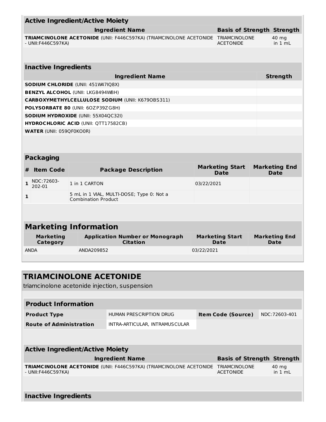|                                                                                                                                       | <b>Active Ingredient/Active Moiety</b> |                                                                                 |            |                                       |                 |                                     |  |
|---------------------------------------------------------------------------------------------------------------------------------------|----------------------------------------|---------------------------------------------------------------------------------|------------|---------------------------------------|-----------------|-------------------------------------|--|
| <b>Ingredient Name</b><br><b>Basis of Strength Strength</b>                                                                           |                                        |                                                                                 |            |                                       |                 |                                     |  |
| TRIAMCINOLONE ACETONIDE (UNII: F446C597KA) (TRIAMCINOLONE ACETONIDE<br><b>TRIAMCINOLONE</b><br>- UNII:F446C597KA)<br><b>ACETONIDE</b> |                                        |                                                                                 |            |                                       |                 | 40 mg<br>in 1 mL                    |  |
|                                                                                                                                       | <b>Inactive Ingredients</b>            |                                                                                 |            |                                       |                 |                                     |  |
|                                                                                                                                       |                                        | <b>Ingredient Name</b>                                                          |            |                                       | <b>Strength</b> |                                     |  |
|                                                                                                                                       |                                        | SODIUM CHLORIDE (UNII: 451W47IQ8X)                                              |            |                                       |                 |                                     |  |
|                                                                                                                                       |                                        | <b>BENZYL ALCOHOL (UNII: LKG8494WBH)</b>                                        |            |                                       |                 |                                     |  |
|                                                                                                                                       |                                        | CARBOXYMETHYLCELLULOSE SODIUM (UNII: K6790BS311)                                |            |                                       |                 |                                     |  |
|                                                                                                                                       |                                        | POLYSORBATE 80 (UNII: 60ZP39ZG8H)<br><b>SODIUM HYDROXIDE (UNII: 55X04QC32I)</b> |            |                                       |                 |                                     |  |
|                                                                                                                                       |                                        | <b>HYDROCHLORIC ACID (UNII: QTT17582CB)</b>                                     |            |                                       |                 |                                     |  |
|                                                                                                                                       | <b>WATER (UNII: 059QF0KO0R)</b>        |                                                                                 |            |                                       |                 |                                     |  |
|                                                                                                                                       |                                        |                                                                                 |            |                                       |                 |                                     |  |
|                                                                                                                                       | <b>Packaging</b>                       |                                                                                 |            |                                       |                 |                                     |  |
| #                                                                                                                                     | <b>Item Code</b>                       | <b>Package Description</b>                                                      |            | <b>Marketing Start</b><br><b>Date</b> |                 | <b>Marketing End</b><br><b>Date</b> |  |
| 1                                                                                                                                     | NDC: 72603-<br>202-01                  | 1 in 1 CARTON                                                                   | 03/22/2021 |                                       |                 |                                     |  |
| $\mathbf{1}$                                                                                                                          |                                        | 5 mL in 1 VIAL, MULTI-DOSE; Type 0: Not a<br><b>Combination Product</b>         |            |                                       |                 |                                     |  |
|                                                                                                                                       |                                        |                                                                                 |            |                                       |                 |                                     |  |
|                                                                                                                                       | <b>Marketing Information</b>           |                                                                                 |            |                                       |                 |                                     |  |
|                                                                                                                                       | <b>Marketing</b><br><b>Category</b>    | <b>Application Number or Monograph</b><br><b>Citation</b>                       |            | <b>Marketing Start</b><br><b>Date</b> |                 | <b>Marketing End</b><br><b>Date</b> |  |
|                                                                                                                                       | <b>ANDA</b>                            | ANDA209852                                                                      | 03/22/2021 |                                       |                 |                                     |  |
|                                                                                                                                       |                                        |                                                                                 |            |                                       |                 |                                     |  |

| <b>TRIAMCINOLONE ACETONIDE</b><br>triamcinolone acetonide injection, suspension |                                                                            |  |                                          |  |                  |  |  |
|---------------------------------------------------------------------------------|----------------------------------------------------------------------------|--|------------------------------------------|--|------------------|--|--|
| <b>Product Information</b>                                                      |                                                                            |  |                                          |  |                  |  |  |
| <b>Product Type</b>                                                             | <b>HUMAN PRESCRIPTION DRUG</b>                                             |  | <b>Item Code (Source)</b>                |  | NDC:72603-401    |  |  |
| <b>Route of Administration</b>                                                  | INTRA-ARTICULAR, INTRAMUSCULAR                                             |  |                                          |  |                  |  |  |
| <b>Active Ingredient/Active Moiety</b>                                          |                                                                            |  |                                          |  |                  |  |  |
|                                                                                 | <b>Ingredient Name</b>                                                     |  | <b>Basis of Strength Strength</b>        |  |                  |  |  |
| - UNII:F446C597KA)                                                              | <b>TRIAMCINOLONE ACETONIDE (UNII: F446C597KA) (TRIAMCINOLONE ACETONIDE</b> |  | <b>TRIAMCINOLONE</b><br><b>ACETONIDE</b> |  | 40 mg<br>in 1 mL |  |  |
|                                                                                 |                                                                            |  |                                          |  |                  |  |  |
| <b>Inactive Ingredients</b>                                                     |                                                                            |  |                                          |  |                  |  |  |